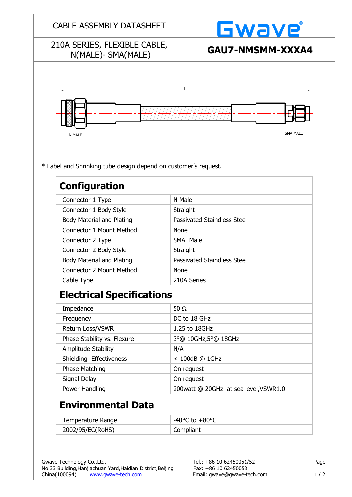| 210A SERIES, FLEXIBLE CABLE,                                    | <b>Gwave</b>                                        |  |  |
|-----------------------------------------------------------------|-----------------------------------------------------|--|--|
| N(MALE)- SMA(MALE)                                              | GAU7-NMSMM-XXXA4                                    |  |  |
|                                                                 |                                                     |  |  |
|                                                                 |                                                     |  |  |
|                                                                 |                                                     |  |  |
|                                                                 |                                                     |  |  |
|                                                                 |                                                     |  |  |
|                                                                 | <b>SMA MALE</b>                                     |  |  |
| N MALE                                                          |                                                     |  |  |
|                                                                 |                                                     |  |  |
|                                                                 |                                                     |  |  |
| * Label and Shrinking tube design depend on customer's request. |                                                     |  |  |
| <b>Configuration</b>                                            |                                                     |  |  |
| Connector 1 Type                                                | N Male                                              |  |  |
| Connector 1 Body Style                                          | Straight                                            |  |  |
| Body Material and Plating                                       | <b>Passivated Staindless Steel</b>                  |  |  |
| Connector 1 Mount Method                                        | <b>None</b>                                         |  |  |
| Connector 2 Type                                                | SMA Male                                            |  |  |
| Connector 2 Body Style                                          | Straight                                            |  |  |
| <b>Body Material and Plating</b>                                | <b>Passivated Staindless Steel</b>                  |  |  |
| <b>Connector 2 Mount Method</b>                                 | <b>None</b>                                         |  |  |
| Cable Type                                                      | 210A Series                                         |  |  |
| <b>Electrical Specifications</b>                                |                                                     |  |  |
| Impedance                                                       | 50 $\Omega$                                         |  |  |
| Frequency                                                       | DC to 18 GHz                                        |  |  |
| Return Loss/VSWR                                                | 1.25 to 18GHz                                       |  |  |
|                                                                 | 3°@ 10GHz,5°@ 18GHz                                 |  |  |
|                                                                 | N/A                                                 |  |  |
| Phase Stability vs. Flexure<br>Amplitude Stability              |                                                     |  |  |
| Shielding Effectiveness                                         | <-100dB @ 1GHz                                      |  |  |
| <b>Phase Matching</b>                                           | On request                                          |  |  |
|                                                                 |                                                     |  |  |
| Signal Delay<br>Power Handling                                  | On request<br>200watt @ 20GHz at sea level, VSWR1.0 |  |  |
|                                                                 |                                                     |  |  |
| <b>Environmental Data</b>                                       |                                                     |  |  |
| Temperature Range                                               | -40 $^{\circ}$ C to +80 $^{\circ}$ C                |  |  |

China(100094) [www.gwave-tech.com](http://www.gwave-tech.com/)  Email: gwave@gwave-tech.com | 1 / 2